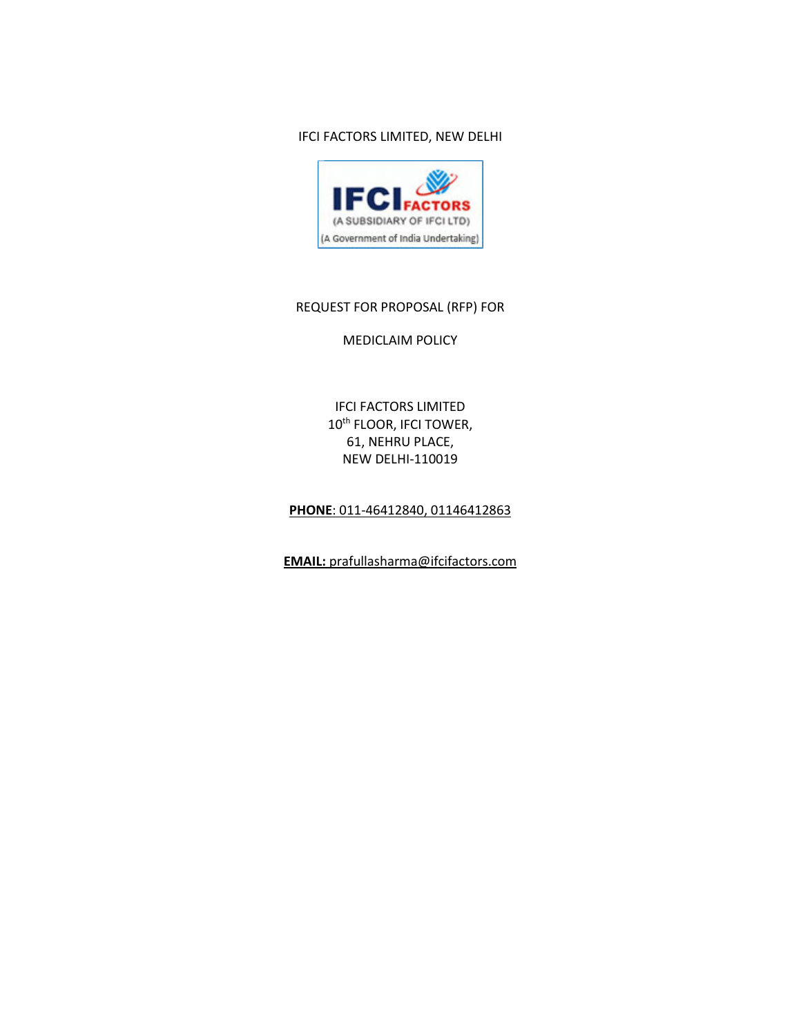#### IFCI FACTORS LIMITED, NEW DELHI



## REQUEST FOR PROPOSAL (RFP) FOR

#### MEDICLAIM POLICY

IFCI FACTORS LIMITED 10<sup>th</sup> FLOOR, IFCI TOWER, 61, NEHRU PLACE, NEW DELHI-110019

## **PHONE**: 011-46412840, 01146412863

**EMAIL:** prafullasharma@ifcifactors.com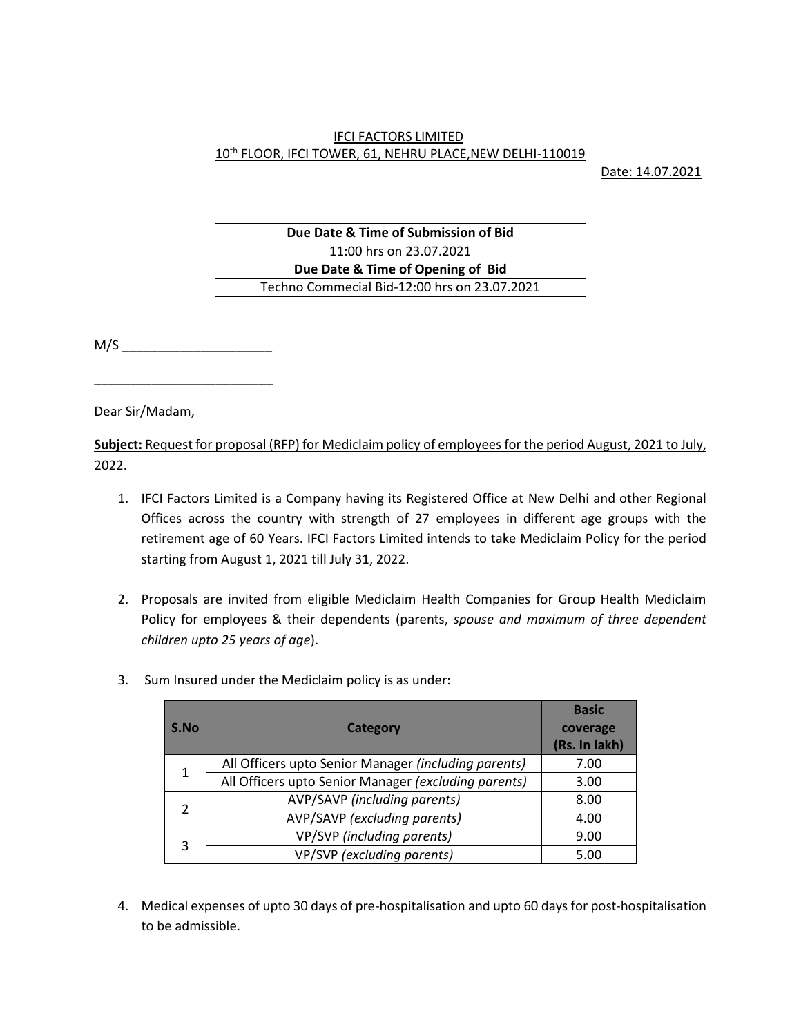# IFCI FACTORS LIMITED 10th FLOOR, IFCI TOWER, 61, NEHRU PLACE,NEW DELHI-110019

Date: 14.07.2021

| Due Date & Time of Submission of Bid         |  |
|----------------------------------------------|--|
| 11:00 hrs on 23.07.2021                      |  |
| Due Date & Time of Opening of Bid            |  |
| Techno Commecial Bid-12:00 hrs on 23.07.2021 |  |

M/S \_\_\_\_\_\_\_\_\_\_\_\_\_\_\_\_\_\_\_\_\_

\_\_\_\_\_\_\_\_\_\_\_\_\_\_\_\_\_\_\_\_\_\_\_\_\_

Dear Sir/Madam,

**Subject:** Request for proposal (RFP) for Mediclaim policy of employees for the period August, 2021 to July, 2022.

- 1. IFCI Factors Limited is a Company having its Registered Office at New Delhi and other Regional Offices across the country with strength of 27 employees in different age groups with the retirement age of 60 Years. IFCI Factors Limited intends to take Mediclaim Policy for the period starting from August 1, 2021 till July 31, 2022.
- 2. Proposals are invited from eligible Mediclaim Health Companies for Group Health Mediclaim Policy for employees & their dependents (parents, *spouse and maximum of three dependent children upto 25 years of age*).
- 3. Sum Insured under the Mediclaim policy is as under:

| S.No           | <b>Category</b>                                      | <b>Basic</b><br>coverage<br>(Rs. In lakh) |
|----------------|------------------------------------------------------|-------------------------------------------|
| 1              | All Officers upto Senior Manager (including parents) | 7.00                                      |
|                | All Officers upto Senior Manager (excluding parents) | 3.00                                      |
| $\mathfrak{p}$ | AVP/SAVP (including parents)                         | 8.00                                      |
|                | AVP/SAVP (excluding parents)                         | 4.00                                      |
| 3              | VP/SVP (including parents)                           | 9.00                                      |
|                | VP/SVP (excluding parents)                           | 5.00                                      |

4. Medical expenses of upto 30 days of pre-hospitalisation and upto 60 days for post-hospitalisation to be admissible.